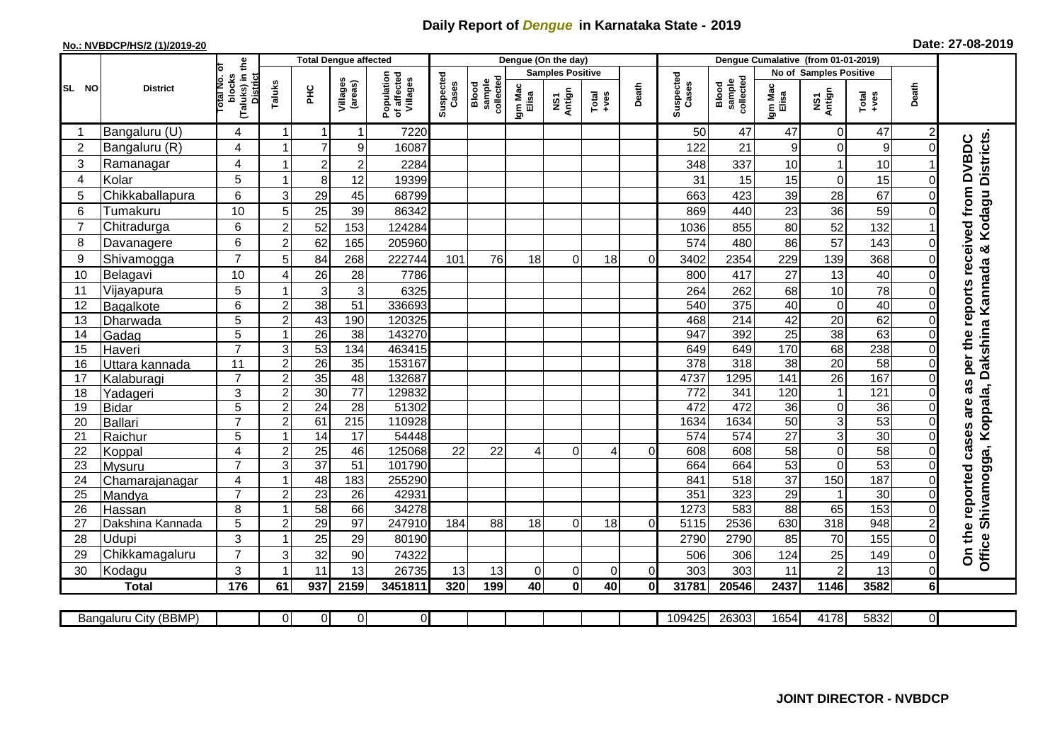## **Daily Report of** *Dengue* **in Karnataka State - 2019**

## **No.: NVBDCP/HS/2 (1)/2019-20**

| Date: 27-08-2019 |  |  |  |
|------------------|--|--|--|
|------------------|--|--|--|

|                |                       |                                                      |                         |                 | <b>Total Dengue affected</b> |                                       |                    |                              |                  | Dengue (On the day)     |                |          |                    |                              | Dengue Cumalative (from 01-01-2019) |                  |                 |                |                                                                           |
|----------------|-----------------------|------------------------------------------------------|-------------------------|-----------------|------------------------------|---------------------------------------|--------------------|------------------------------|------------------|-------------------------|----------------|----------|--------------------|------------------------------|-------------------------------------|------------------|-----------------|----------------|---------------------------------------------------------------------------|
|                |                       |                                                      |                         |                 |                              |                                       |                    |                              |                  | <b>Samples Positive</b> |                |          |                    |                              | <b>No of Samples Positive</b>       |                  |                 |                |                                                                           |
| SL NO          | <b>District</b>       | (Taluks) in the<br>District<br>otal No. of<br>blocks | Taluks                  | ΞÉ              | Villages<br>(areas)          | Population<br>of affected<br>Villages | Suspected<br>Cases | collected<br>Blood<br>sample | Igm Mac<br>Elisa | Antign<br>ŠΣ            | Total<br>+ves  | Death    | Suspected<br>Cases | collected<br>sample<br>Blood | Igm Mac<br>Elisa                    | NS1<br>Antign    | Total<br>+ves   | Death          |                                                                           |
| -1             | Bangaluru (U)         | 4                                                    | $\mathbf 1$             | 1               | $\mathbf 1$                  | 7220                                  |                    |                              |                  |                         |                |          | 50                 | 47                           | 47                                  | $\mathbf 0$      | 47              | $\overline{c}$ |                                                                           |
| $\overline{c}$ | Bangaluru (R)         | 4                                                    |                         | $\overline{7}$  | 9                            | 16087                                 |                    |                              |                  |                         |                |          | 122                | 21                           | 9                                   | $\mathbf 0$      | 9               | $\Omega$       | Kodagu Districts<br>as per the reports received from DVBDC                |
| 3              | Ramanagar             | 4                                                    |                         | $\overline{c}$  | $\overline{c}$               | 2284                                  |                    |                              |                  |                         |                |          | 348                | 337                          | 10                                  |                  | 10              |                |                                                                           |
| 4              | Kolar                 | 5                                                    | 1                       | 8               | 12                           | 19399                                 |                    |                              |                  |                         |                |          | 31                 | 15                           | 15                                  | $\mathbf 0$      | 15              | 0              |                                                                           |
| 5              | Chikkaballapura       | $6\phantom{1}$                                       | 3                       | 29              | 45                           | 68799                                 |                    |                              |                  |                         |                |          | 663                | 423                          | 39                                  | 28               | 67              |                |                                                                           |
| 6              | Tumakuru              | 10                                                   | 5                       | 25              | 39                           | 86342                                 |                    |                              |                  |                         |                |          | 869                | 440                          | 23                                  | 36               | 59              |                |                                                                           |
| $\overline{7}$ | Chitradurga           | 6                                                    | $\overline{c}$          | 52              | 153                          | 124284                                |                    |                              |                  |                         |                |          | 1036               | 855                          | 80                                  | 52               | 132             |                |                                                                           |
| 8              | Davanagere            | 6                                                    | $\overline{c}$          | 62              | 165                          | 205960                                |                    |                              |                  |                         |                |          | 574                | 480                          | 86                                  | 57               | 143             | $\Omega$       | ×                                                                         |
| 9              | Shivamogga            | $\overline{7}$                                       | 5                       | 84              | 268                          | 222744                                | 101                | 76                           | 18               | 0                       | 18             | 0        | 3402               | 2354                         | 229                                 | 139              | 368             |                |                                                                           |
| 10             | Belagavi              | 10                                                   | 4                       | 26              | 28                           | 7786                                  |                    |                              |                  |                         |                |          | 800                | 417                          | 27                                  | 13               | 40              | $\Omega$       |                                                                           |
| 11             | Vijayapura            | 5                                                    |                         | 3               | $\mathbf{3}$                 | 6325                                  |                    |                              |                  |                         |                |          | 264                | 262                          | 68                                  | 10               | 78              |                |                                                                           |
| 12             | Bagalkote             | 6                                                    | $\overline{c}$          | 38              | 51                           | 336693                                |                    |                              |                  |                         |                |          | 540                | 375                          | 40                                  | $\mathbf 0$      | 40              | $\Omega$       |                                                                           |
| 13             | Dharwada              | $\overline{5}$                                       | $\overline{2}$          | 43              | 190                          | 120325                                |                    |                              |                  |                         |                |          | 468                | 214                          | 42                                  | 20               | 62              | $\Omega$       |                                                                           |
| 14             | Gadag                 | $\overline{5}$                                       | 1                       | 26              | $\overline{38}$              | 143270                                |                    |                              |                  |                         |                |          | 947                | 392                          | $\overline{25}$                     | 38               | 63              |                |                                                                           |
| 15             | Haveri                | $\overline{7}$                                       | 3                       | 53              | 134                          | 463415                                |                    |                              |                  |                         |                |          | 649                | 649                          | 170                                 | 68               | 238             | 0              |                                                                           |
| 16             | Uttara kannada        | 11                                                   | $\overline{2}$          | $\overline{26}$ | 35                           | 153167                                |                    |                              |                  |                         |                |          | 378                | 318                          | $\overline{38}$                     | 20               | 58              |                |                                                                           |
| 17             | Kalaburagi            | $\overline{7}$                                       | $\overline{2}$          | 35              | 48                           | 132687                                |                    |                              |                  |                         |                |          | 4737               | 1295                         | $\frac{141}{1}$                     | $\overline{26}$  | 167             | $\Omega$       |                                                                           |
| 18             | Yadageri              | 3                                                    | $\overline{c}$          | 30              | 77                           | 129832                                |                    |                              |                  |                         |                |          | 772                | 341                          | 120                                 | $\overline{1}$   | 121             |                |                                                                           |
| 19             | <b>Bidar</b>          | 5                                                    | $\overline{c}$          | $\overline{24}$ | 28                           | 51302                                 |                    |                              |                  |                         |                |          | 472                | 472                          | 36                                  | $\mathbf 0$      | 36              |                |                                                                           |
| 20             | <b>Ballari</b>        | $\overline{7}$                                       | $\overline{c}$          | 61              | $\overline{215}$             | 110928                                |                    |                              |                  |                         |                |          | 1634               | 1634                         | 50                                  | $\overline{3}$   | 53              | 0              |                                                                           |
| 21             | Raichur               | 5                                                    | $\overline{1}$          | 14              | 17                           | 54448                                 |                    |                              |                  |                         |                |          | 574                | $\overline{574}$             | $\overline{27}$                     | $\overline{3}$   | $\overline{30}$ | $\Omega$       |                                                                           |
| 22             | Koppal                | $\overline{4}$                                       | $\overline{c}$          | $\overline{25}$ | 46                           | 125068                                | 22                 | 22                           | 4                | $\mathbf 0$             | $\overline{4}$ | $\Omega$ | 608                | 608                          | $\overline{58}$                     | $\mathbf 0$      | $\overline{58}$ | $\Omega$       |                                                                           |
| 23             | Mysuru                | $\overline{7}$                                       | $\overline{3}$          | $\overline{37}$ | 51                           | 101790                                |                    |                              |                  |                         |                |          | 664                | 664                          | 53                                  | $\mathbf 0$      | 53              |                |                                                                           |
| 24             | Chamarajanagar        | 4                                                    | -1                      | 48              | 183                          | 255290                                |                    |                              |                  |                         |                |          | 841                | $\overline{518}$             | $\overline{37}$                     | 150              | 187             | 0              |                                                                           |
| 25             | Mandya                | $\overline{7}$                                       | $\overline{2}$          | $\overline{23}$ | $\overline{26}$              | 42931                                 |                    |                              |                  |                         |                |          | 351                | 323                          | $\overline{29}$                     | $\overline{1}$   | $\overline{30}$ |                |                                                                           |
| 26             | Hassan                | 8                                                    | $\overline{\mathbf{1}}$ | 58              | 66                           | 34278                                 |                    |                              |                  |                         |                |          | 1273               | 583                          | 88                                  | 65               | 153             | $\Omega$       |                                                                           |
| 27             | Dakshina Kannada      | 5                                                    | $\overline{c}$          | 29              | $\overline{97}$              | 247910                                | 184                | 88                           | 18               | $\mathbf 0$             | 18             | 0        | 5115               | 2536                         | 630                                 | $\overline{318}$ | 948             |                |                                                                           |
| 28             | Udupi                 | 3                                                    | -1                      | 25              | 29                           | 80190                                 |                    |                              |                  |                         |                |          | 2790               | 2790                         | 85                                  | 70               | 155             | $\Omega$       | Office Shivamogga, Koppala, Dakshina Kannada<br>On the reported cases are |
| 29             | Chikkamagaluru        | $\overline{7}$                                       | 3                       | 32              | 90                           | 74322                                 |                    |                              |                  |                         |                |          | 506                | 306                          | 124                                 | 25               | 149             | $\overline{0}$ |                                                                           |
| 30             | Kodagu                | 3                                                    |                         | 11              | 13                           | 26735                                 | 13                 | 13                           | 0                | 0                       | $\Omega$       | 0        | 303                | 303                          | 11                                  | $\overline{2}$   | 13              | $\overline{0}$ |                                                                           |
|                | <b>Total</b>          | 176                                                  | 61                      | 937             | 2159                         | 3451811                               | 320                | 199                          | 40               | $\mathbf 0$             | 40             | 0        | 31781              | 20546                        | 2437                                | 1146             | 3582            | <b>6</b>       |                                                                           |
|                |                       |                                                      |                         |                 |                              |                                       |                    |                              |                  |                         |                |          |                    |                              |                                     |                  |                 |                |                                                                           |
|                | Bangaluru City (BBMP) |                                                      | $\Omega$                | $\overline{0}$  | $\overline{0}$               | $\overline{0}$                        |                    |                              |                  |                         |                |          | 109425             | 26303                        | 1654                                | 4178             | 5832            | 0I             |                                                                           |